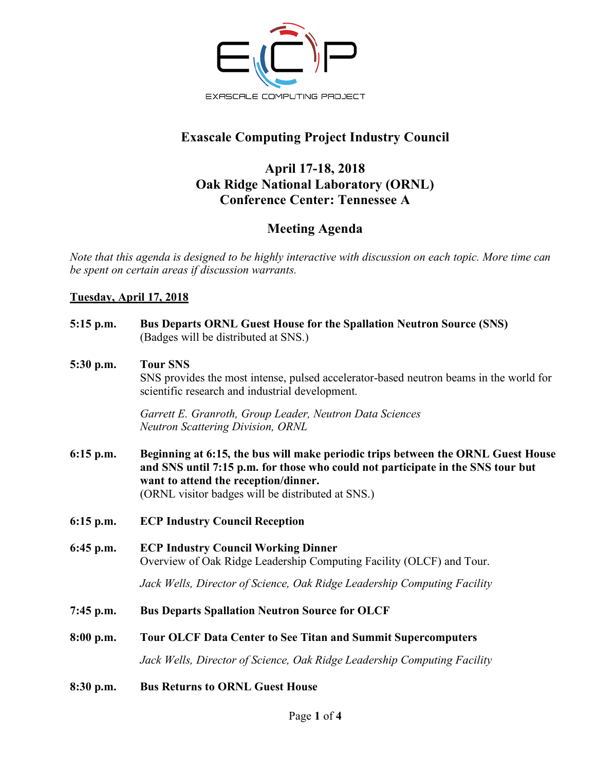

# **Exascale Computing Project Industry Council**

## **April 17-18, 2018 Oak Ridge National Laboratory (ORNL) Conference Center: Tennessee A**

## **Meeting Agenda**

*Note that this agenda is designed to be highly interactive with discussion on each topic. More time can be spent on certain areas if discussion warrants.* 

### **Tuesday, April 17, 2018**

| $5:15$ p.m. | <b>Bus Departs ORNL Guest House for the Spallation Neutron Source (SNS)</b><br>(Badges will be distributed at SNS.)                                                                                                                                              |
|-------------|------------------------------------------------------------------------------------------------------------------------------------------------------------------------------------------------------------------------------------------------------------------|
| 5:30 p.m.   | <b>Tour SNS</b><br>SNS provides the most intense, pulsed accelerator-based neutron beams in the world for<br>scientific research and industrial development.                                                                                                     |
|             | Garrett E. Granroth, Group Leader, Neutron Data Sciences<br><b>Neutron Scattering Division, ORNL</b>                                                                                                                                                             |
| $6:15$ p.m. | Beginning at 6:15, the bus will make periodic trips between the ORNL Guest House<br>and SNS until 7:15 p.m. for those who could not participate in the SNS tour but<br>want to attend the reception/dinner.<br>(ORNL visitor badges will be distributed at SNS.) |
| $6:15$ p.m. | <b>ECP Industry Council Reception</b>                                                                                                                                                                                                                            |
| $6:45$ p.m. | <b>ECP Industry Council Working Dinner</b><br>Overview of Oak Ridge Leadership Computing Facility (OLCF) and Tour.                                                                                                                                               |
|             | Jack Wells, Director of Science, Oak Ridge Leadership Computing Facility                                                                                                                                                                                         |
| $7:45$ p.m. | <b>Bus Departs Spallation Neutron Source for OLCF</b>                                                                                                                                                                                                            |
| 8:00 p.m.   | <b>Tour OLCF Data Center to See Titan and Summit Supercomputers</b>                                                                                                                                                                                              |
|             | Jack Wells, Director of Science, Oak Ridge Leadership Computing Facility                                                                                                                                                                                         |
| 8:30 p.m.   | <b>Bus Returns to ORNL Guest House</b>                                                                                                                                                                                                                           |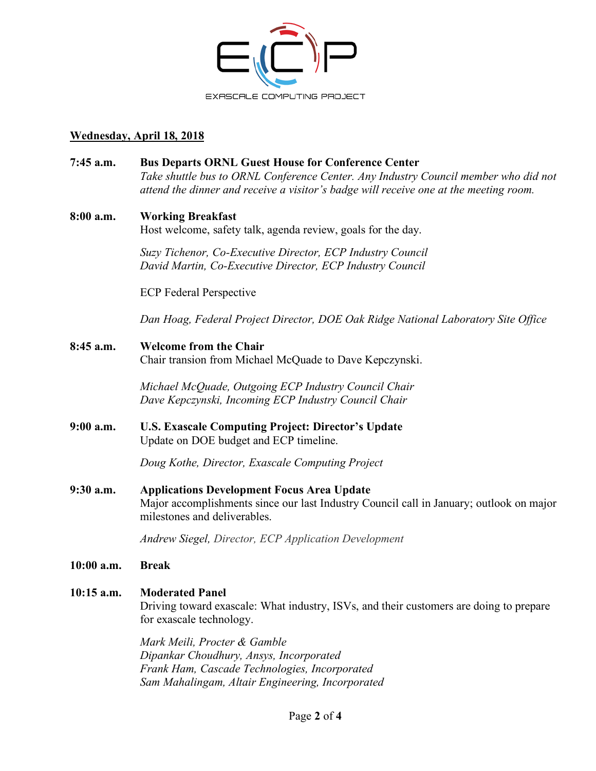

## **Wednesday, April 18, 2018**

| 7:45 a.m.    | <b>Bus Departs ORNL Guest House for Conference Center</b><br>Take shuttle bus to ORNL Conference Center. Any Industry Council member who did not<br>attend the dinner and receive a visitor's badge will receive one at the meeting room. |
|--------------|-------------------------------------------------------------------------------------------------------------------------------------------------------------------------------------------------------------------------------------------|
| 8:00 a.m.    | <b>Working Breakfast</b><br>Host welcome, safety talk, agenda review, goals for the day.                                                                                                                                                  |
|              | Suzy Tichenor, Co-Executive Director, ECP Industry Council<br>David Martin, Co-Executive Director, ECP Industry Council                                                                                                                   |
|              | <b>ECP</b> Federal Perspective                                                                                                                                                                                                            |
|              | Dan Hoag, Federal Project Director, DOE Oak Ridge National Laboratory Site Office                                                                                                                                                         |
| 8:45 a.m.    | <b>Welcome from the Chair</b><br>Chair transion from Michael McQuade to Dave Kepczynski.                                                                                                                                                  |
|              | Michael McQuade, Outgoing ECP Industry Council Chair<br>Dave Kepczynski, Incoming ECP Industry Council Chair                                                                                                                              |
| $9:00$ a.m.  | <b>U.S. Exascale Computing Project: Director's Update</b><br>Update on DOE budget and ECP timeline.                                                                                                                                       |
|              | Doug Kothe, Director, Exascale Computing Project                                                                                                                                                                                          |
| 9:30 a.m.    | <b>Applications Development Focus Area Update</b><br>Major accomplishments since our last Industry Council call in January; outlook on major<br>milestones and deliverables.                                                              |
|              | Andrew Siegel, Director, ECP Application Development                                                                                                                                                                                      |
| 10:00 a.m.   | <b>Break</b>                                                                                                                                                                                                                              |
| $10:15$ a.m. | <b>Moderated Panel</b><br>Driving toward exascale: What industry, ISVs, and their customers are doing to prepare<br>for exascale technology.                                                                                              |
|              | Mark Maili Drogtor & Camble                                                                                                                                                                                                               |

*Mark Meili, Procter & Gamble Dipankar Choudhury, Ansys, Incorporated Frank Ham, Cascade Technologies, Incorporated Sam Mahalingam, Altair Engineering, Incorporated*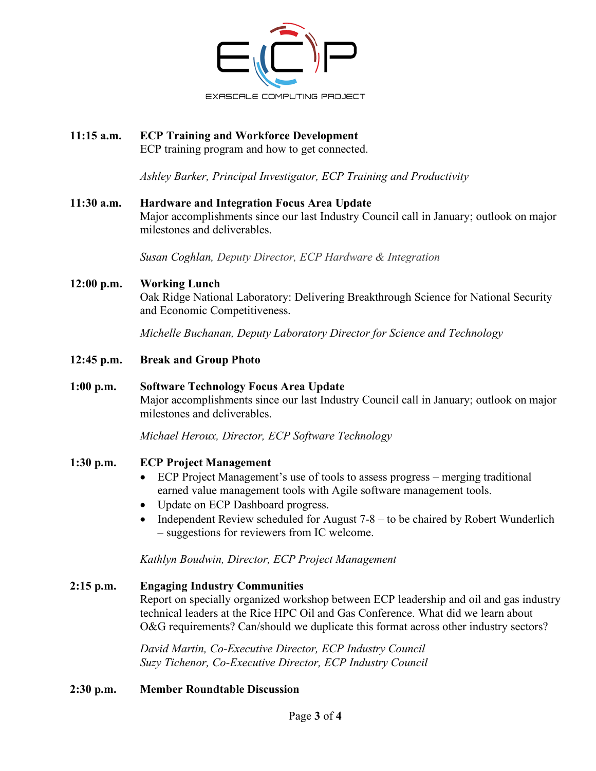

# **11:15 a.m. ECP Training and Workforce Development**

ECP training program and how to get connected.

*Ashley Barker, Principal Investigator, ECP Training and Productivity*

#### **11:30 a.m. Hardware and Integration Focus Area Update**

Major accomplishments since our last Industry Council call in January; outlook on major milestones and deliverables.

*Susan Coghlan, Deputy Director, ECP Hardware & Integration*

#### **12:00 p.m. Working Lunch**

Oak Ridge National Laboratory: Delivering Breakthrough Science for National Security and Economic Competitiveness.

*Michelle Buchanan, Deputy Laboratory Director for Science and Technology*

**12:45 p.m. Break and Group Photo**

#### **1:00 p.m. Software Technology Focus Area Update**

Major accomplishments since our last Industry Council call in January; outlook on major milestones and deliverables.

*Michael Heroux, Director, ECP Software Technology*

#### **1:30 p.m. ECP Project Management**

- ECP Project Management's use of tools to assess progress merging traditional earned value management tools with Agile software management tools.
- Update on ECP Dashboard progress.
- Independent Review scheduled for August 7-8 to be chaired by Robert Wunderlich – suggestions for reviewers from IC welcome.

*Kathlyn Boudwin, Director, ECP Project Management* 

**2:15 p.m. Engaging Industry Communities** Report on specially organized workshop between ECP leadership and oil and gas industry technical leaders at the Rice HPC Oil and Gas Conference. What did we learn about O&G requirements? Can/should we duplicate this format across other industry sectors?

> *David Martin, Co-Executive Director, ECP Industry Council Suzy Tichenor, Co-Executive Director, ECP Industry Council*

#### **2:30 p.m. Member Roundtable Discussion**